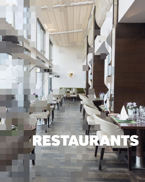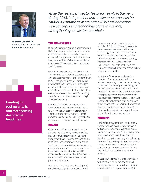

**SIMON CHAPLIN Senior Director, Corporate Pubs & Restaurants**

**Consultancy**

**Funding for restaurants is still forthcoming despite the headlines.**

*While the restaurant sector featured heavily in the news during 2018, independent and smaller operators can be cautiously optimistic as we enter 2019 and innovation, new concepts and technology come to the fore, strengthening the sector as a whole.*

# **THE HIGH STREET**

During 2018 more high profile operators used CVAs (Company Voluntary Arrangements) to restructure a business, primarily to manage underperforming sites and reduce rent costs for a period of time. While a viable solution in many cases, CVAs can also be a precursor to administration.

Prime candidates likely to turn towards CVAs are multi-site operators who expanded quickly over the last three years in the race for growth. In 2015, the growth in casual dining looked unstoppable and private equity pushed for expansion, which sometimes extended into areas where the brand style didn't fit or where competition saw rents escalate. Considering these factors, further casualties on the high street are inevitable.

In the first half of 2019, we expect at least three larger corporate operators will resort to CVAs, the only viable defence for many operators in the current market, and this number could double during the rest of 2019 if consumer confidence does not improve.

# **BRAND**

Out of the top 10 brands, Nando's remains the only one still actively seeking new sites. Having carefully expanded over 25 years throughout the UK, Nando's has become the restaurant consumers most want to see on their street. The brand is more up-market than a fast food chain and has clever promotions, including discounts to the likes of NHS workers and the infamous 'Black Card,' which attracts music and sports stars while still promoting the brand.

Wagamama has also been performing well, remaining top of their class with measured

and organic growth to reach its current portfolio of 130 plus UK sites. Its Asian style menu is seen as healthy and affordable, maintaining a wide appeal with consumers. While future growth opportunities in the UK are limited, they are actively expanding internationally. We wait to see if their acquisition by The Restaurant Group, the owner of Frankie & Benny's and others, will see this growth accelerate.

Nando's and Wagamama are two prime examples of operators who continue to succeed despite high street casualties, having established a unique signature offering that has withstood the test of time with its target audience. Operators seeking to introduce new concepts and customer experiences must also caution against straying too far from their principle offering. Menu expansion opposed to a complete change in menu will prove to be far more effective. For example, Nando's has introduced a breakfast offering, which does not put the principle offering at risk.

# **FUNDING**

Funding for restaurants is still forthcoming despite the headlines, but the sources are wide ranging. Traditional high street banks have never been suitable from a start-up point of view, as in most cases there is only the leasehold property as security. Crowdfunding and emerging challenger banks, keen to back the next trend, have also become popular avenues for an ambitious existing operator and are seen as a catalyst to achieving success.

Private equity comes in all shapes and sizes, with some of the best focused on small emerging chains, who then cleverly sell out when the group has grown to around 30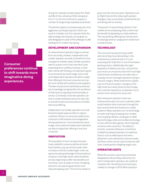**Consumer preferences continue to shift towards more imaginative dining experiences.**

strong. For example, private equity firm, Piper sold Be At One, whose portfolio had grown from 11 to 33, and continues to support a number of burgeoning hospitality businesses.

The premier players in private equity are more aggressive, pushing for growth, which can result in mistakes, but if an operator finds the right strategy, the rewards can be great, as with Bridgepoint's sale of Pret a Manger to JAB Holding for £1.5 billion last spring.

### **DEVELOPMENT AND EXPANSION**

As national brand operators begin to retreat from secondary markets, independent and smaller operators are able to benefit from the emergence of better deals. Smaller operators seek to acquire one to two new sites a year, expanding from cashflow, however a small team will be self-limiting in an attempt to grow. Unconstrained by brand image, most small and independent operators are able to adapt their offering to the local consumer and can be more nimble with workforce and suppliers. The likes of pubs and small family businesses are increasingly recognised for the excellence of their food, as opposed to the formality of service. Conversely, multi-site operators can look to create individual menus for each site to include locally sourced products and tailor their local offering.

Independent and smaller operators can look forward to great opportunities to capture customer interest, as consumer preferences continue to shift towards more imaginative dining experiences. Unconstrained by brand image, most small and independent operators are able to adapt their offering to the local consumer.

# **INNOVATION**

The popularity of new concepts has seen many establish numerous pitches at street food markets, pop ups and box parks. New concepts could also create larger, multi-use spaces by taking advantage of the prevalence of space on the high street, where landlords are also beginning to offer new benefits and incentives, such as deals on rents, nil ingoing premium cost, planning permission and reduced ingoing costs. This trend is certain to

grow over the next two years. Operators such as Flight Club and the indoor golf operator, Swingers, have successfully combined the bar and dining with an activity.

The growth of casual dining started in midmarket all-encompassing chains, which had the benefit of appealing to a wide audience. The casual dining offering has now become increasingly diverse, ranging from street food to steak houses.

# **TECHNOLOGY**

The consumer has become lazy whilst also becoming more demanding. In the instantaneous world we live in, it is not surprising that 'Grab & Go' is one of the fastest growing sectors. Additionally, the rapid expansion of delivery services, not just from your local curry house but also from most high street brands via Deliveroo and Uber Eats, is causing concern amongst operators trying to improve margins. While street food is a great source of food innovation, changes on the high street are mainly driven by technology and customer experience, as operators try to extract more money from every visit.

Most restaurant operators have now embraced the web, but more could also utilise social media to drive customers through the door and promote the business to a wider audience. Many operators turn to technology to make ordering and paying even simpler, such as going cashless, using apps or table top technology, while some utilise technology to train staff via video games, which replicate scenarios with customers. The ability to monitor customer behaviour to the finest of detail has allowed operators to maximise factors, such as table layout and menu placement, and understand customer peaks and flows, which can be used to improve staff rotas, subsequently mitigating wage costs.

# **OPERATOR COSTS**

Whilst the voucher culture has somewhat disappeared, discounting culture has not, which independent operators are unable to compete with. Sensitivity around pricing is unlikely to change in 2019. While operators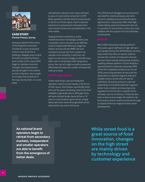

### **CASE STUDY Former Prezzo, Surrey**

Acting on behalf of the owner of the freehold investment, Christie & Co was contracted to find a new tenant for a building in Reigate town centre, formerly occupied by Prezzo prior to their CVA in early 2018. Eager to maintain covenant strength, the leasehold was quickly brought to the market and let to Nando's, who sought to increase their presence in the busy Surrey town, on a new lease.

will attempt to absorb costs, many will need to pass on costs to the consumer in 2019. Many operators will still need to invest heavily in the fit out of their space and if customer experience is enhanced or improved, then cost should not become as problematic in the mid-market.

Tipping remains contentious, as the market becomes increasingly cashless and contactless, and is not seen as an effective route to reward staff. Minimum wage has helped, and we will see HMRC become involved to ensure the Tronc system can operate more smoothly. Customers can expect to see service charges on the bill more often, but in combination with rising menu prices, the cost of a night out will increase and effectively decrease the number of restaurant visits as a result.

Unlike retail shops, pub and restaurant operators need to invest heavily in the fit out of their space. Short leases, specifically those with sub five years remaining, restrict the time available to generate return, although many will seek a tenant break clause at five or 10 years in case situations grow worse. Longer leases also have value when goodwill can be attached for any exit in the future.

The 2018 Autumn Budget announced some rate relief for small businesses, and rents are set to stabilise at worst and will reduce significantly in many areas. With retail high streets failing, pubs and restaurants are not in a position to rescue them unless rent costs stabilise with the support of local authorities and landlords.

With 3,000 restaurants having opened in three years, good staff were in high demand and equally hard to find. Whilst Brexit concerns have meant the influx of new EU staff has slowed, the number of restaurant closures has seen fewer people seeking new positions. Leading software platform, Fourth Analytics, reported that EU nationals composed 40% of the UK's hospitality workforce as of June 2018, pressuring operators to become less dependent on talented migrant chefs and simplify menus, as the influx of new EU staff slows. Should food import costs rise depending on the Brexit deal that is agreed, better menu creation and sourcing more ingredients from the UK or outside the EU will keep costs to a minimum. There has also been a drive to encourage UK residents into the industry, which could be achieved through increased minimum wage and clear career development.

**As national brand operators begin to retreat from secondary markets, independent and smaller operators are able to benefit from the emergence of better deals.**

**While street food is a great source of food innovation, changes on the high street are mainly driven by technology and customer experience**